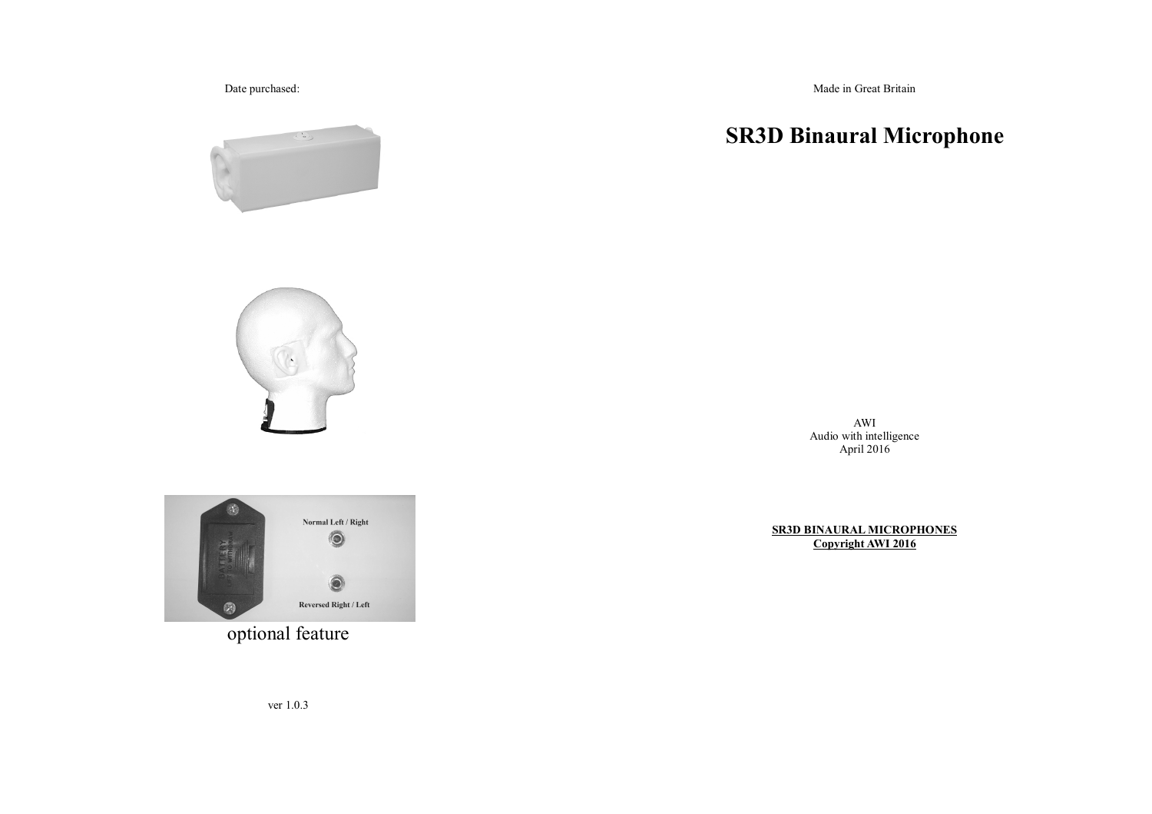Date purchased:

Made in Great Britain

# **SR3D Binaural Microphone**

AWIAudio with intelligence April 2016

**SR3D BINAURAL MICROPHONES Copyright AWI 2016**



optional feature

ver 1.0.3